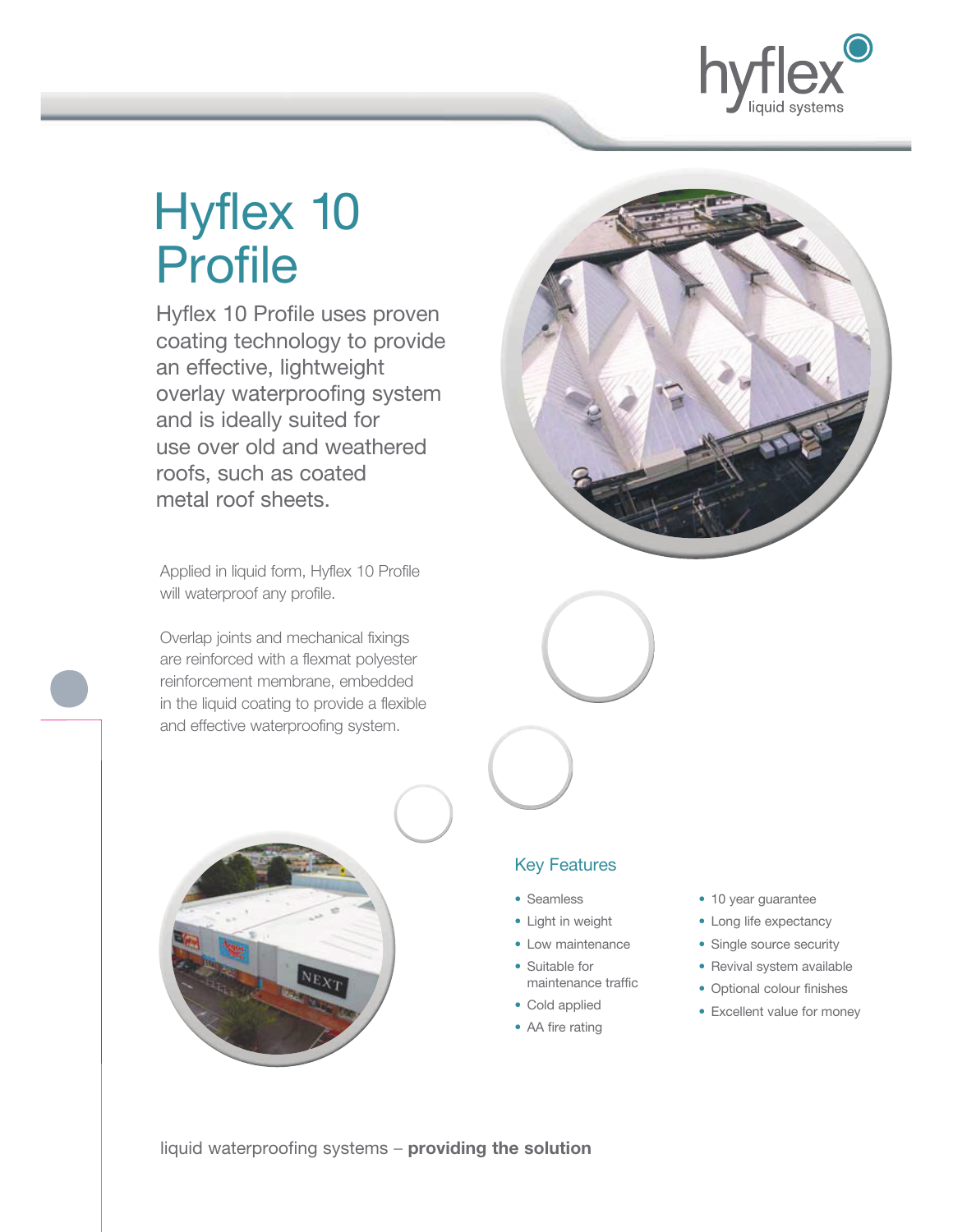

# Hyflex 10 Profile

 Hyflex 10 Profile uses proven coating technology to provide an effective, lightweight overlay waterproofing system and is ideally suited for use over old and weathered roofs, such as coated metal roof sheets.

Applied in liquid form, Hyflex 10 Profile will waterproof any profile.

Overlap joints and mechanical fixings are reinforced with a flexmat polyester reinforcement membrane, embedded in the liquid coating to provide a flexible and effective waterproofing system.







### Key Features

- Seamless
- Light in weight
- Low maintenance
- Suitable for maintenance traffic
- Cold applied
- AA fire rating
- 10 year guarantee
- Long life expectancy
- Single source security
- Revival system available
- Optional colour finishes
- Excellent value for money

liquid waterproofing systems – **providing the solution**